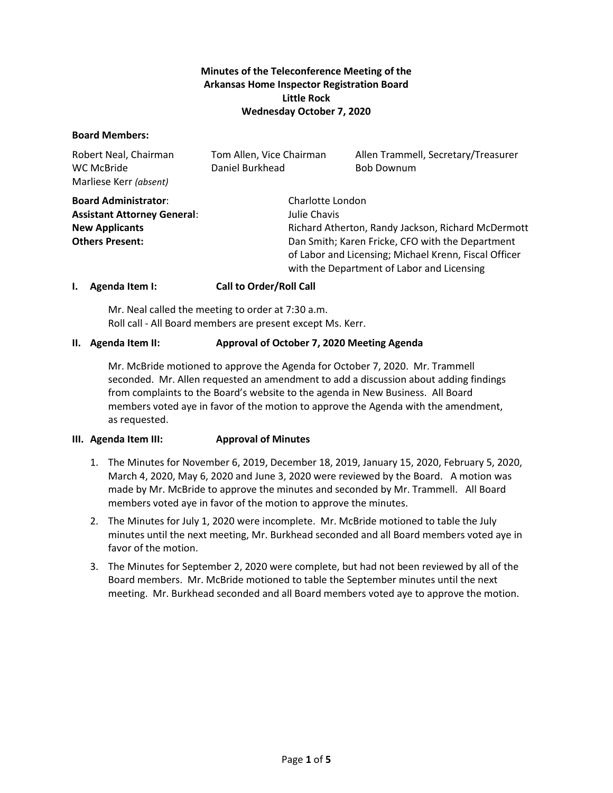# **Minutes of the Teleconference Meeting of the Arkansas Home Inspector Registration Board Little Rock Wednesday October 7, 2020**

## **Board Members:**

| Robert Neal, Chairman<br>WC McBride<br>Marliese Kerr (absent) | Tom Allen, Vice Chairman<br>Daniel Burkhead        |                                                                                                                                                         | Allen Trammell, Secretary/Treasurer<br><b>Bob Downum</b> |
|---------------------------------------------------------------|----------------------------------------------------|---------------------------------------------------------------------------------------------------------------------------------------------------------|----------------------------------------------------------|
| <b>Board Administrator:</b>                                   | Charlotte London                                   |                                                                                                                                                         |                                                          |
| <b>Assistant Attorney General:</b>                            | Julie Chavis                                       |                                                                                                                                                         |                                                          |
| <b>New Applicants</b>                                         | Richard Atherton, Randy Jackson, Richard McDermott |                                                                                                                                                         |                                                          |
| <b>Others Present:</b>                                        |                                                    | Dan Smith; Karen Fricke, CFO with the Department<br>of Labor and Licensing; Michael Krenn, Fiscal Officer<br>with the Department of Labor and Licensing |                                                          |

## **I. Agenda Item I: Call to Order/Roll Call**

Mr. Neal called the meeting to order at 7:30 a.m. Roll call - All Board members are present except Ms. Kerr.

## **II. Agenda Item II: Approval of October 7, 2020 Meeting Agenda**

Mr. McBride motioned to approve the Agenda for October 7, 2020. Mr. Trammell seconded. Mr. Allen requested an amendment to add a discussion about adding findings from complaints to the Board's website to the agenda in New Business. All Board members voted aye in favor of the motion to approve the Agenda with the amendment, as requested.

## **III. Agenda Item III: Approval of Minutes**

- 1. The Minutes for November 6, 2019, December 18, 2019, January 15, 2020, February 5, 2020, March 4, 2020, May 6, 2020 and June 3, 2020 were reviewed by the Board. A motion was made by Mr. McBride to approve the minutes and seconded by Mr. Trammell. All Board members voted aye in favor of the motion to approve the minutes.
- 2. The Minutes for July 1, 2020 were incomplete. Mr. McBride motioned to table the July minutes until the next meeting, Mr. Burkhead seconded and all Board members voted aye in favor of the motion.
- 3. The Minutes for September 2, 2020 were complete, but had not been reviewed by all of the Board members. Mr. McBride motioned to table the September minutes until the next meeting. Mr. Burkhead seconded and all Board members voted aye to approve the motion.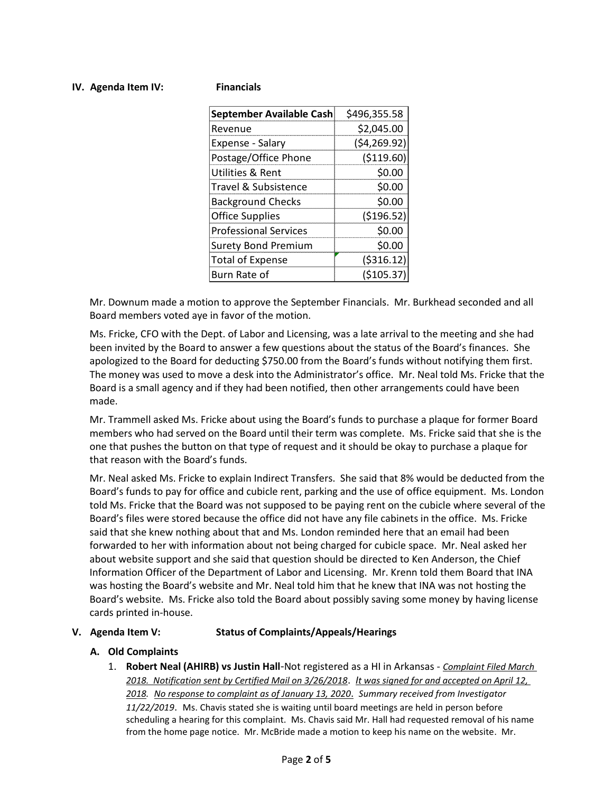## **IV. Agenda Item IV: Financials**

| September Available Cash     | \$496,355.58 |
|------------------------------|--------------|
| Revenue                      | \$2,045.00   |
| Expense - Salary             | (54, 269.92) |
| Postage/Office Phone         | ( \$119.60)  |
| Utilities & Rent             | \$0.00       |
| Travel & Subsistence         | \$0.00       |
| <b>Background Checks</b>     | \$0.00       |
| <b>Office Supplies</b>       | (\$196.52)   |
| <b>Professional Services</b> | \$0.00       |
| <b>Surety Bond Premium</b>   | \$0.00       |
| <b>Total of Expense</b>      | ( \$316.12)  |
| Burn Rate of                 | ( \$105.37)  |

Mr. Downum made a motion to approve the September Financials. Mr. Burkhead seconded and all Board members voted aye in favor of the motion.

Ms. Fricke, CFO with the Dept. of Labor and Licensing, was a late arrival to the meeting and she had been invited by the Board to answer a few questions about the status of the Board's finances. She apologized to the Board for deducting \$750.00 from the Board's funds without notifying them first. The money was used to move a desk into the Administrator's office. Mr. Neal told Ms. Fricke that the Board is a small agency and if they had been notified, then other arrangements could have been made.

Mr. Trammell asked Ms. Fricke about using the Board's funds to purchase a plaque for former Board members who had served on the Board until their term was complete. Ms. Fricke said that she is the one that pushes the button on that type of request and it should be okay to purchase a plaque for that reason with the Board's funds.

Mr. Neal asked Ms. Fricke to explain Indirect Transfers. She said that 8% would be deducted from the Board's funds to pay for office and cubicle rent, parking and the use of office equipment. Ms. London told Ms. Fricke that the Board was not supposed to be paying rent on the cubicle where several of the Board's files were stored because the office did not have any file cabinets in the office. Ms. Fricke said that she knew nothing about that and Ms. London reminded here that an email had been forwarded to her with information about not being charged for cubicle space. Mr. Neal asked her about website support and she said that question should be directed to Ken Anderson, the Chief Information Officer of the Department of Labor and Licensing. Mr. Krenn told them Board that INA was hosting the Board's website and Mr. Neal told him that he knew that INA was not hosting the Board's website. Ms. Fricke also told the Board about possibly saving some money by having license cards printed in-house.

## **V. Agenda Item V: Status of Complaints/Appeals/Hearings**

## **A. Old Complaints**

1. **Robert Neal (AHIRB) vs Justin Hall**-Not registered as a HI in Arkansas - *Complaint Filed March 2018. Notification sent by Certified Mail on 3/26/2018*. *It was signed for and accepted on April 12, 2018. No response to complaint as of January 13, 2020*. *Summary received from Investigator 11/22/2019*. Ms. Chavis stated she is waiting until board meetings are held in person before scheduling a hearing for this complaint. Ms. Chavis said Mr. Hall had requested removal of his name from the home page notice. Mr. McBride made a motion to keep his name on the website. Mr.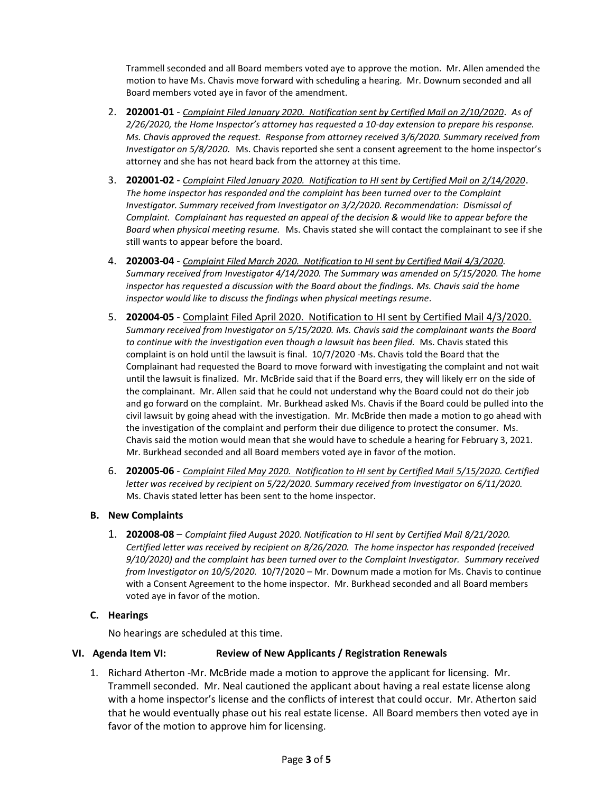Trammell seconded and all Board members voted aye to approve the motion. Mr. Allen amended the motion to have Ms. Chavis move forward with scheduling a hearing. Mr. Downum seconded and all Board members voted aye in favor of the amendment.

- 2. **202001-01** *Complaint Filed January 2020. Notification sent by Certified Mail on 2/10/2020*. *As of 2/26/2020, the Home Inspector's attorney has requested a 10-day extension to prepare his response. Ms. Chavis approved the request. Response from attorney received 3/6/2020. Summary received from Investigator on 5/8/2020.*Ms. Chavis reported she sent a consent agreement to the home inspector's attorney and she has not heard back from the attorney at this time.
- 3. **202001-02** *Complaint Filed January 2020. Notification to HI sent by Certified Mail on 2/14/2020*. *The home inspector has responded and the complaint has been turned over to the Complaint Investigator. Summary received from Investigator on 3/2/2020. Recommendation: Dismissal of Complaint. Complainant has requested an appeal of the decision & would like to appear before the Board when physical meeting resume.* Ms. Chavis stated she will contact the complainant to see if she still wants to appear before the board.
- 4. **202003-04** *Complaint Filed March 2020. Notification to HI sent by Certified Mail 4/3/2020. Summary received from Investigator 4/14/2020. The Summary was amended on 5/15/2020. The home inspector has requested a discussion with the Board about the findings. Ms. Chavis said the home inspector would like to discuss the findings when physical meetings resume.*
- 5. **202004-05** Complaint Filed April 2020. Notification to HI sent by Certified Mail 4/3/2020. *Summary received from Investigator on 5/15/2020. Ms. Chavis said the complainant wants the Board*  to continue with the investigation even though a lawsuit has been filed. Ms. Chavis stated this complaint is on hold until the lawsuit is final. 10/7/2020 -Ms. Chavis told the Board that the Complainant had requested the Board to move forward with investigating the complaint and not wait until the lawsuit is finalized. Mr. McBride said that if the Board errs, they will likely err on the side of the complainant. Mr. Allen said that he could not understand why the Board could not do their job and go forward on the complaint. Mr. Burkhead asked Ms. Chavis if the Board could be pulled into the civil lawsuit by going ahead with the investigation. Mr. McBride then made a motion to go ahead with the investigation of the complaint and perform their due diligence to protect the consumer. Ms. Chavis said the motion would mean that she would have to schedule a hearing for February 3, 2021. Mr. Burkhead seconded and all Board members voted aye in favor of the motion.
- 6. **202005-06** *Complaint Filed May 2020. Notification to HI sent by Certified Mail 5/15/2020. Certified letter was received by recipient on 5/22/2020. Summary received from Investigator on 6/11/2020.* Ms. Chavis stated letter has been sent to the home inspector.

## **B. New Complaints**

1. **202008-08** – *Complaint filed August 2020. Notification to HI sent by Certified Mail 8/21/2020. Certified letter was received by recipient on 8/26/2020. The home inspector has responded (received 9/10/2020) and the complaint has been turned over to the Complaint Investigator. Summary received from Investigator on 10/5/2020.* 10/7/2020 – Mr. Downum made a motion for Ms. Chavis to continue with a Consent Agreement to the home inspector. Mr. Burkhead seconded and all Board members voted aye in favor of the motion.

## **C. Hearings**

No hearings are scheduled at this time.

# **VI. Agenda Item VI: Review of New Applicants / Registration Renewals**

1. Richard Atherton -Mr. McBride made a motion to approve the applicant for licensing. Mr. Trammell seconded. Mr. Neal cautioned the applicant about having a real estate license along with a home inspector's license and the conflicts of interest that could occur. Mr. Atherton said that he would eventually phase out his real estate license. All Board members then voted aye in favor of the motion to approve him for licensing.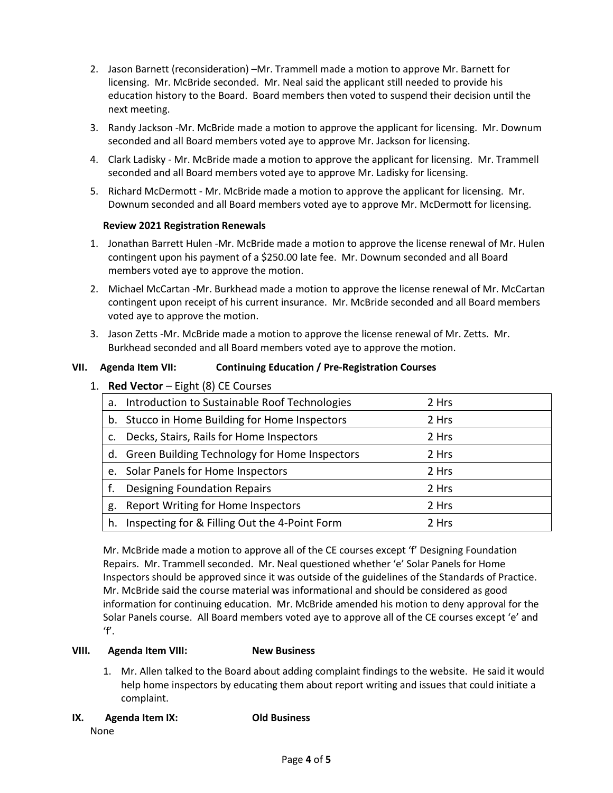- 2. Jason Barnett (reconsideration) –Mr. Trammell made a motion to approve Mr. Barnett for licensing. Mr. McBride seconded. Mr. Neal said the applicant still needed to provide his education history to the Board. Board members then voted to suspend their decision until the next meeting.
- 3. Randy Jackson -Mr. McBride made a motion to approve the applicant for licensing. Mr. Downum seconded and all Board members voted aye to approve Mr. Jackson for licensing.
- 4. Clark Ladisky Mr. McBride made a motion to approve the applicant for licensing. Mr. Trammell seconded and all Board members voted aye to approve Mr. Ladisky for licensing.
- 5. Richard McDermott Mr. McBride made a motion to approve the applicant for licensing. Mr. Downum seconded and all Board members voted aye to approve Mr. McDermott for licensing.

# **Review 2021 Registration Renewals**

- 1. Jonathan Barrett Hulen -Mr. McBride made a motion to approve the license renewal of Mr. Hulen contingent upon his payment of a \$250.00 late fee. Mr. Downum seconded and all Board members voted aye to approve the motion.
- 2. Michael McCartan -Mr. Burkhead made a motion to approve the license renewal of Mr. McCartan contingent upon receipt of his current insurance. Mr. McBride seconded and all Board members voted aye to approve the motion.
- 3. Jason Zetts -Mr. McBride made a motion to approve the license renewal of Mr. Zetts. Mr. Burkhead seconded and all Board members voted aye to approve the motion.

# **VII. Agenda Item VII: Continuing Education / Pre-Registration Courses**

1. **Red Vector** – Eight (8) CE Courses

|    | a. Introduction to Sustainable Roof Technologies | 2 Hrs |
|----|--------------------------------------------------|-------|
|    | b. Stucco in Home Building for Home Inspectors   | 2 Hrs |
| C. | Decks, Stairs, Rails for Home Inspectors         | 2 Hrs |
|    | d. Green Building Technology for Home Inspectors | 2 Hrs |
|    | e. Solar Panels for Home Inspectors              | 2 Hrs |
|    | <b>Designing Foundation Repairs</b>              | 2 Hrs |
| g. | <b>Report Writing for Home Inspectors</b>        | 2 Hrs |
| h. | Inspecting for & Filling Out the 4-Point Form    | 2 Hrs |

Mr. McBride made a motion to approve all of the CE courses except 'f' Designing Foundation Repairs. Mr. Trammell seconded. Mr. Neal questioned whether 'e' Solar Panels for Home Inspectors should be approved since it was outside of the guidelines of the Standards of Practice. Mr. McBride said the course material was informational and should be considered as good information for continuing education. Mr. McBride amended his motion to deny approval for the Solar Panels course. All Board members voted aye to approve all of the CE courses except 'e' and 'f'.

## **VIII. Agenda Item VIII: New Business**

1. Mr. Allen talked to the Board about adding complaint findings to the website. He said it would help home inspectors by educating them about report writing and issues that could initiate a complaint.

## **IX. Agenda Item IX: Old Business**

None